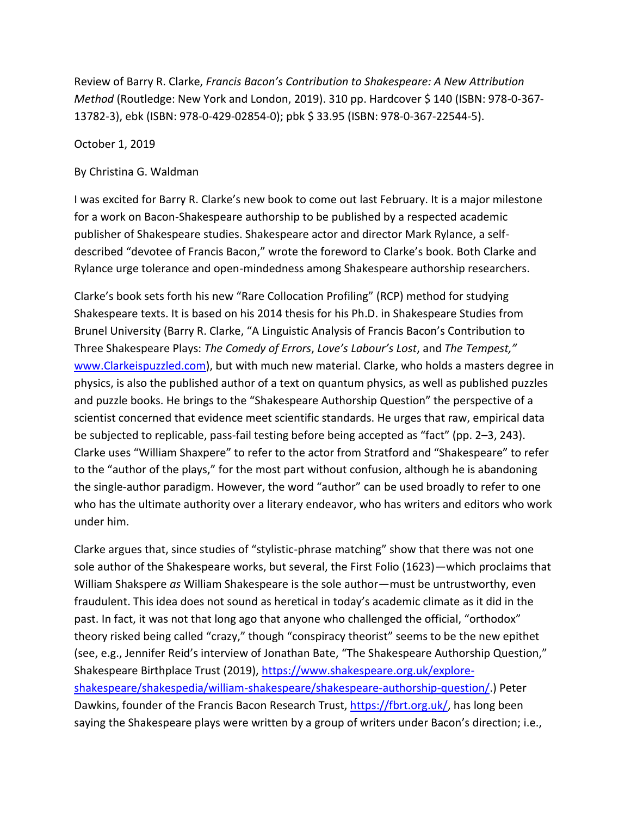Review of Barry R. Clarke, *Francis Bacon's Contribution to Shakespeare: A New Attribution Method* (Routledge: New York and London, 2019). 310 pp. Hardcover \$ 140 (ISBN: 978-0-367- 13782-3), ebk (ISBN: 978-0-429-02854-0); pbk \$ 33.95 (ISBN: 978-0-367-22544-5).

## October 1, 2019

## By Christina G. Waldman

I was excited for Barry R. Clarke's new book to come out last February. It is a major milestone for a work on Bacon-Shakespeare authorship to be published by a respected academic publisher of Shakespeare studies. Shakespeare actor and director Mark Rylance, a selfdescribed "devotee of Francis Bacon," wrote the foreword to Clarke's book. Both Clarke and Rylance urge tolerance and open-mindedness among Shakespeare authorship researchers.

Clarke's book sets forth his new "Rare Collocation Profiling" (RCP) method for studying Shakespeare texts. It is based on his 2014 thesis for his Ph.D. in Shakespeare Studies from Brunel University (Barry R. Clarke, "A Linguistic Analysis of Francis Bacon's Contribution to Three Shakespeare Plays: *The Comedy of Errors*, *Love's Labour's Lost*, and *The Tempest,"* [www.Clarkeispuzzled.com\)](http://www.barryispuzzled.com/), but with much new material. Clarke, who holds a masters degree in physics, is also the published author of a text on quantum physics, as well as published puzzles and puzzle books. He brings to the "Shakespeare Authorship Question" the perspective of a scientist concerned that evidence meet scientific standards. He urges that raw, empirical data be subjected to replicable, pass-fail testing before being accepted as "fact" (pp. 2–3, 243). Clarke uses "William Shaxpere" to refer to the actor from Stratford and "Shakespeare" to refer to the "author of the plays," for the most part without confusion, although he is abandoning the single-author paradigm. However, the word "author" can be used broadly to refer to one who has the ultimate authority over a literary endeavor, who has writers and editors who work under him.

Clarke argues that, since studies of "stylistic-phrase matching" show that there was not one sole author of the Shakespeare works, but several, the First Folio (1623)—which proclaims that William Shakspere *as* William Shakespeare is the sole author—must be untrustworthy, even fraudulent. This idea does not sound as heretical in today's academic climate as it did in the past. In fact, it was not that long ago that anyone who challenged the official, "orthodox" theory risked being called "crazy," though "conspiracy theorist" seems to be the new epithet (see, e.g., Jennifer Reid's interview of Jonathan Bate, "The Shakespeare Authorship Question," Shakespeare Birthplace Trust (2019), [https://www.shakespeare.org.uk/explore](https://www.shakespeare.org.uk/explore-shakespeare/shakespedia/william-shakespeare/shakespeare-authorship-question/)[shakespeare/shakespedia/william-shakespeare/shakespeare-authorship-question/.](https://www.shakespeare.org.uk/explore-shakespeare/shakespedia/william-shakespeare/shakespeare-authorship-question/)) Peter Dawkins, founder of the Francis Bacon Research Trust[, https://fbrt.org.uk/,](https://fbrt.org.uk/) has long been saying the Shakespeare plays were written by a group of writers under Bacon's direction; i.e.,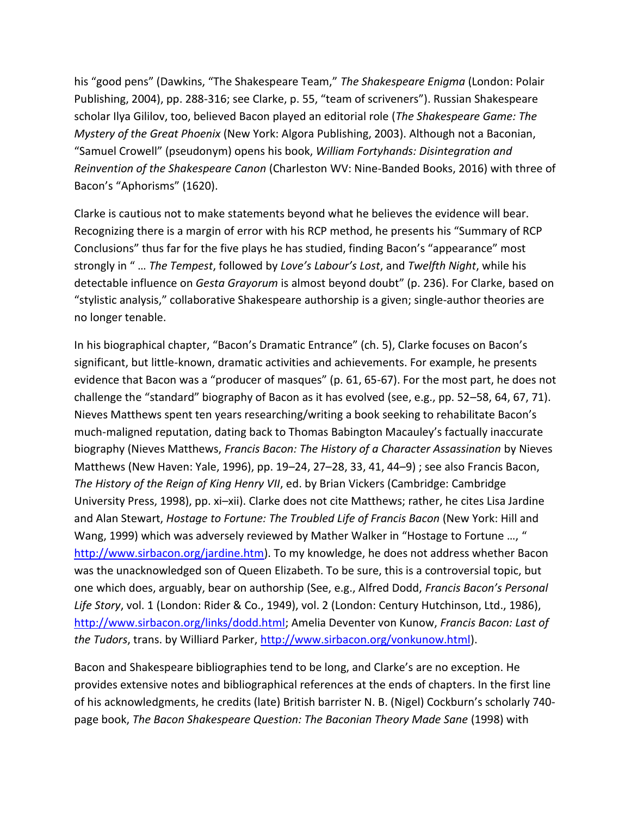his "good pens" (Dawkins, "The Shakespeare Team," *The Shakespeare Enigma* (London: Polair Publishing, 2004), pp. 288-316; see Clarke, p. 55, "team of scriveners"). Russian Shakespeare scholar Ilya Gililov, too, believed Bacon played an editorial role (*The Shakespeare Game: The Mystery of the Great Phoenix* (New York: Algora Publishing, 2003). Although not a Baconian, "Samuel Crowell" (pseudonym) opens his book, *William Fortyhands: Disintegration and Reinvention of the Shakespeare Canon* (Charleston WV: Nine-Banded Books, 2016) with three of Bacon's "Aphorisms" (1620).

Clarke is cautious not to make statements beyond what he believes the evidence will bear. Recognizing there is a margin of error with his RCP method, he presents his "Summary of RCP Conclusions" thus far for the five plays he has studied, finding Bacon's "appearance" most strongly in " … *The Tempest*, followed by *Love's Labour's Lost*, and *Twelfth Night*, while his detectable influence on *Gesta Grayorum* is almost beyond doubt" (p. 236). For Clarke, based on "stylistic analysis," collaborative Shakespeare authorship is a given; single-author theories are no longer tenable.

In his biographical chapter, "Bacon's Dramatic Entrance" (ch. 5), Clarke focuses on Bacon's significant, but little-known, dramatic activities and achievements. For example, he presents evidence that Bacon was a "producer of masques" (p. 61, 65-67). For the most part, he does not challenge the "standard" biography of Bacon as it has evolved (see, e.g., pp. 52–58, 64, 67, 71). Nieves Matthews spent ten years researching/writing a book seeking to rehabilitate Bacon's much-maligned reputation, dating back to Thomas Babington Macauley's factually inaccurate biography (Nieves Matthews, *Francis Bacon: The History of a Character Assassination* by Nieves Matthews (New Haven: Yale, 1996), pp. 19–24, 27–28, 33, 41, 44–9) ; see also Francis Bacon, *The History of the Reign of King Henry VII*, ed. by Brian Vickers (Cambridge: Cambridge University Press, 1998), pp. xi–xii). Clarke does not cite Matthews; rather, he cites Lisa Jardine and Alan Stewart, *Hostage to Fortune: The Troubled Life of Francis Bacon* (New York: Hill and Wang, 1999) which was adversely reviewed by Mather Walker in "Hostage to Fortune …, " [http://www.sirbacon.org/jardine.htm\)](http://www.sirbacon.org/jardine.htm). To my knowledge, he does not address whether Bacon was the unacknowledged son of Queen Elizabeth. To be sure, this is a controversial topic, but one which does, arguably, bear on authorship (See, e.g., Alfred Dodd, *Francis Bacon's Personal Life Story*, vol. 1 (London: Rider & Co., 1949), vol. 2 (London: Century Hutchinson, Ltd., 1986), [http://www.sirbacon.org/links/dodd.html;](http://www.sirbacon.org/links/dodd.html) Amelia Deventer von Kunow, *Francis Bacon: Last of the Tudors*, trans. by Williard Parker[, http://www.sirbacon.org/vonkunow.html\)](http://www.sirbacon.org/vonkunow.html).

Bacon and Shakespeare bibliographies tend to be long, and Clarke's are no exception. He provides extensive notes and bibliographical references at the ends of chapters. In the first line of his acknowledgments, he credits (late) British barrister N. B. (Nigel) Cockburn's scholarly 740 page book, *The Bacon Shakespeare Question: The Baconian Theory Made Sane* (1998) with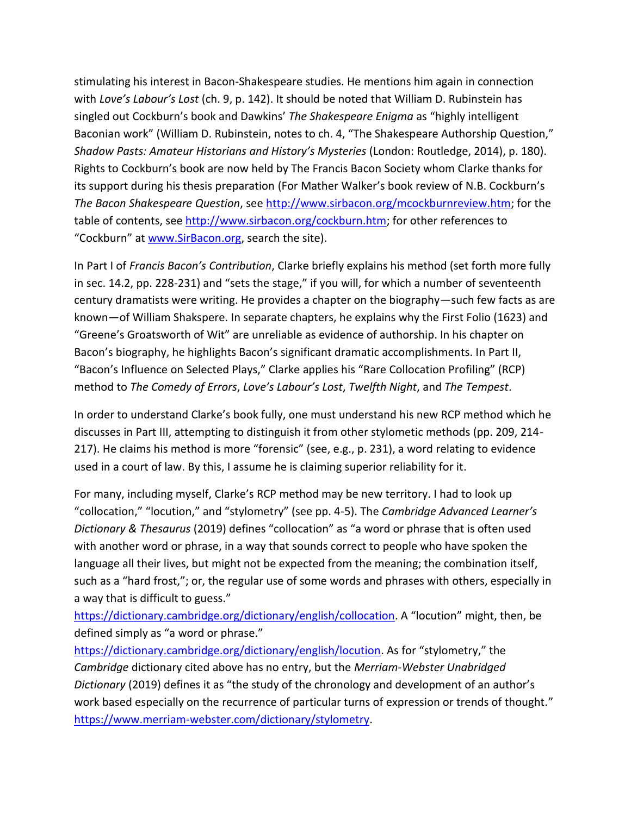stimulating his interest in Bacon-Shakespeare studies. He mentions him again in connection with *Love's Labour's Lost* (ch. 9, p. 142). It should be noted that William D. Rubinstein has singled out Cockburn's book and Dawkins' *The Shakespeare Enigma* as "highly intelligent Baconian work" (William D. Rubinstein, notes to ch. 4, "The Shakespeare Authorship Question," *Shadow Pasts: Amateur Historians and History's Mysteries* (London: Routledge, 2014), p. 180). Rights to Cockburn's book are now held by The Francis Bacon Society whom Clarke thanks for its support during his thesis preparation (For Mather Walker's book review of N.B. Cockburn's *The Bacon Shakespeare Question*, see [http://www.sirbacon.org/mcockburnreview.htm;](http://www.sirbacon.org/mcockburnreview.htm) for the table of contents, see [http://www.sirbacon.org/cockburn.htm;](http://www.sirbacon.org/cockburn.htm) for other references to "Cockburn" at [www.SirBacon.org,](http://www.sirbacon.org/) search the site).

In Part I of *Francis Bacon's Contribution*, Clarke briefly explains his method (set forth more fully in sec. 14.2, pp. 228-231) and "sets the stage," if you will, for which a number of seventeenth century dramatists were writing. He provides a chapter on the biography—such few facts as are known—of William Shakspere. In separate chapters, he explains why the First Folio (1623) and "Greene's Groatsworth of Wit" are unreliable as evidence of authorship. In his chapter on Bacon's biography, he highlights Bacon's significant dramatic accomplishments. In Part II, "Bacon's Influence on Selected Plays," Clarke applies his "Rare Collocation Profiling" (RCP) method to *The Comedy of Errors*, *Love's Labour's Lost*, *Twelfth Night*, and *The Tempest*.

In order to understand Clarke's book fully, one must understand his new RCP method which he discusses in Part III, attempting to distinguish it from other stylometic methods (pp. 209, 214- 217). He claims his method is more "forensic" (see, e.g., p. 231), a word relating to evidence used in a court of law. By this, I assume he is claiming superior reliability for it.

For many, including myself, Clarke's RCP method may be new territory. I had to look up "collocation," "locution," and "stylometry" (see pp. 4-5). The *Cambridge Advanced Learner's Dictionary & Thesaurus* (2019) defines "collocation" as "a word or phrase that is often used with another word or phrase, in a way that sounds correct to people who have spoken the language all their lives, but might not be expected from the meaning; the combination itself, such as a "hard frost,"; or, the regular use of some words and phrases with others, especially in a way that is difficult to guess."

<https://dictionary.cambridge.org/dictionary/english/collocation>. A "locution" might, then, be defined simply as "a word or phrase."

<https://dictionary.cambridge.org/dictionary/english/locution></u>. As for "stylometry," the *Cambridge* dictionary cited above has no entry, but the *Merriam-Webster Unabridged Dictionary* (2019) defines it as "the study of the chronology and development of an author's work based especially on the recurrence of particular turns of expression or trends of thought." [https://www.merriam-webster.com/dictionary/stylometry.](https://www.merriam-webster.com/dictionary/stylometry)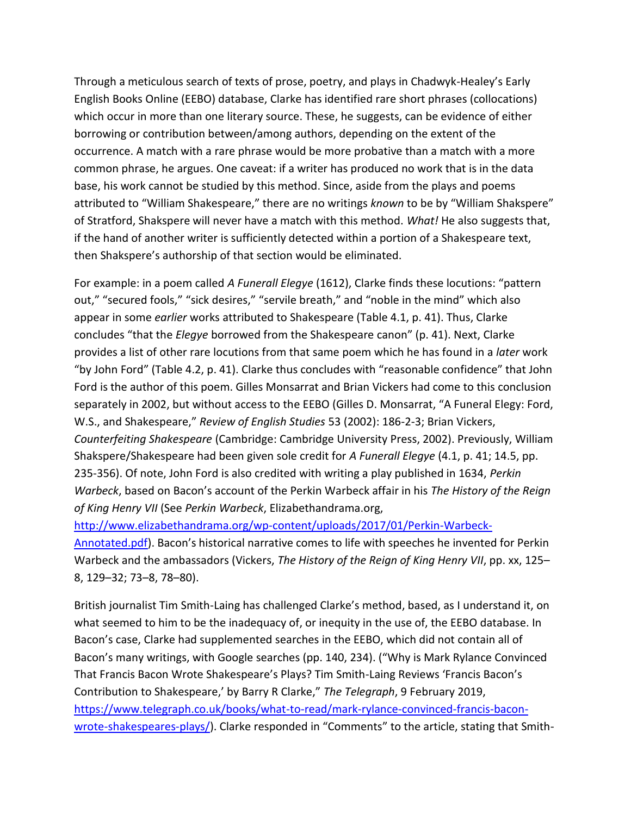Through a meticulous search of texts of prose, poetry, and plays in Chadwyk-Healey's Early English Books Online (EEBO) database, Clarke has identified rare short phrases (collocations) which occur in more than one literary source. These, he suggests, can be evidence of either borrowing or contribution between/among authors, depending on the extent of the occurrence. A match with a rare phrase would be more probative than a match with a more common phrase, he argues. One caveat: if a writer has produced no work that is in the data base, his work cannot be studied by this method. Since, aside from the plays and poems attributed to "William Shakespeare," there are no writings *known* to be by "William Shakspere" of Stratford, Shakspere will never have a match with this method. *What!* He also suggests that, if the hand of another writer is sufficiently detected within a portion of a Shakespeare text, then Shakspere's authorship of that section would be eliminated.

For example: in a poem called *A Funerall Elegye* (1612), Clarke finds these locutions: "pattern out," "secured fools," "sick desires," "servile breath," and "noble in the mind" which also appear in some *earlier* works attributed to Shakespeare (Table 4.1, p. 41). Thus, Clarke concludes "that the *Elegye* borrowed from the Shakespeare canon" (p. 41). Next, Clarke provides a list of other rare locutions from that same poem which he has found in a *later* work "by John Ford" (Table 4.2, p. 41). Clarke thus concludes with "reasonable confidence" that John Ford is the author of this poem. Gilles Monsarrat and Brian Vickers had come to this conclusion separately in 2002, but without access to the EEBO (Gilles D. Monsarrat, "A Funeral Elegy: Ford, W.S., and Shakespeare," *Review of English Studies* 53 (2002): 186-2-3; Brian Vickers, *Counterfeiting Shakespeare* (Cambridge: Cambridge University Press, 2002). Previously, William Shakspere/Shakespeare had been given sole credit for *A Funerall Elegye* (4.1, p. 41; 14.5, pp. 235-356). Of note, John Ford is also credited with writing a play published in 1634, *Perkin Warbeck*, based on Bacon's account of the Perkin Warbeck affair in his *The History of the Reign of King Henry VII* (See *Perkin Warbeck*, Elizabethandrama.org,

[http://www.elizabethandrama.org/wp-content/uploads/2017/01/Perkin-Warbeck-](http://www.elizabethandrama.org/wp-content/uploads/2017/01/Perkin-Warbeck-Annotated.pdf)[Annotated.pdf](http://www.elizabethandrama.org/wp-content/uploads/2017/01/Perkin-Warbeck-Annotated.pdf)). Bacon's historical narrative comes to life with speeches he invented for Perkin

Warbeck and the ambassadors (Vickers, *The History of the Reign of King Henry VII*, pp. xx, 125– 8, 129–32; 73–8, 78–80).

British journalist Tim Smith-Laing has challenged Clarke's method, based, as I understand it, on what seemed to him to be the inadequacy of, or inequity in the use of, the EEBO database. In Bacon's case, Clarke had supplemented searches in the EEBO, which did not contain all of Bacon's many writings, with Google searches (pp. 140, 234). ("Why is Mark Rylance Convinced That Francis Bacon Wrote Shakespeare's Plays? Tim Smith-Laing Reviews 'Francis Bacon's Contribution to Shakespeare,' by Barry R Clarke," *The Telegraph*, 9 February 2019, [https://www.telegraph.co.uk/books/what-to-read/mark-rylance-convinced-francis-bacon](https://www.telegraph.co.uk/books/what-to-read/mark-rylance-convinced-francis-bacon-wrote-shakespeares-plays/)[wrote-shakespeares-plays/](https://www.telegraph.co.uk/books/what-to-read/mark-rylance-convinced-francis-bacon-wrote-shakespeares-plays/)). Clarke responded in "Comments" to the article, stating that Smith